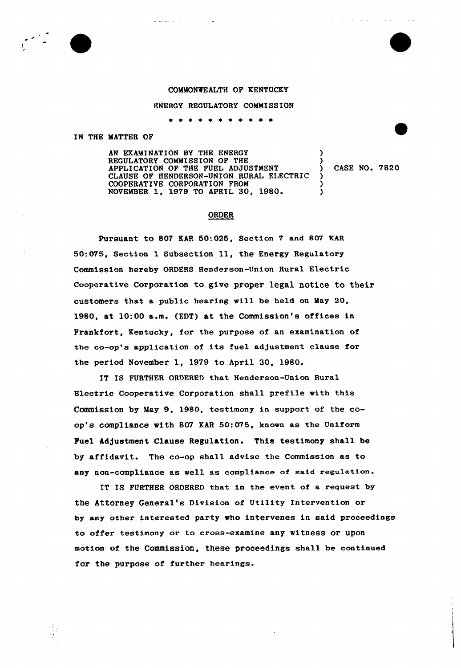## COMMONWEALTH OF KENTUCKY

## ENERGY REGULATORY COMMI SSION

 $\pm$   $\pm$ \* \* \*

## IN THE MATTER OF

AN EXAMINATION BY THE ENERGY REGULATORY COMMISSION OF THE APPLICATION OF THE FUEL ADJUSTMENT CLAUSE OF HENDERSON-UNION RURAL ELECTRIC COOPERATIVE CORPORATION FROM NOVEMBER 1, 1979 TO APRIL 30, 1980.  $\frac{1}{2}$ ) )  $\frac{1}{2}$ )

) CASE NO. 7820

## ORDER

Pursuant to 807 KAR 50:025, Section 7 and 807 KAR 50:076, Section <sup>1</sup> Subsection ll, the Energy Regulatory Commission hereby ORDERS Henderson-Union Rural Electric cooperative Corporation to give proper legal notice to their customers that a public hearing will be held on May 20, 1980, at 10:00 a.m. (EDT) at the Commission's offices in Frankfort, Kentucky, for the purpose of an examination of the co-op's application of its fuel adjustment clause for the period November 1, 1979 to April 30, 1980.

IT IS FURTHER ORDERED that Henderson-Union Rural Electric Cooperative Corporation shall prefile with this Commission by May 9, 1980, testimony in support of the coop's compliance with 807 KAR 50:075, known as the Uniform Puel Adjustment Clause Regulation. This testimony shall be by affidavit. The co-op shall advise the Commission as to any non-compliance as well as compliance of said regulation.

IT IS FURTHER ORDERED that in the event of a request by the Attorney General's Division of Utility Intervention or by any other interested party who intervenes in said proceedings to offer testimony or to cross-examine any witness or upon motion of the Commission, these proceedings shall be continued for the purpose of further hearings.